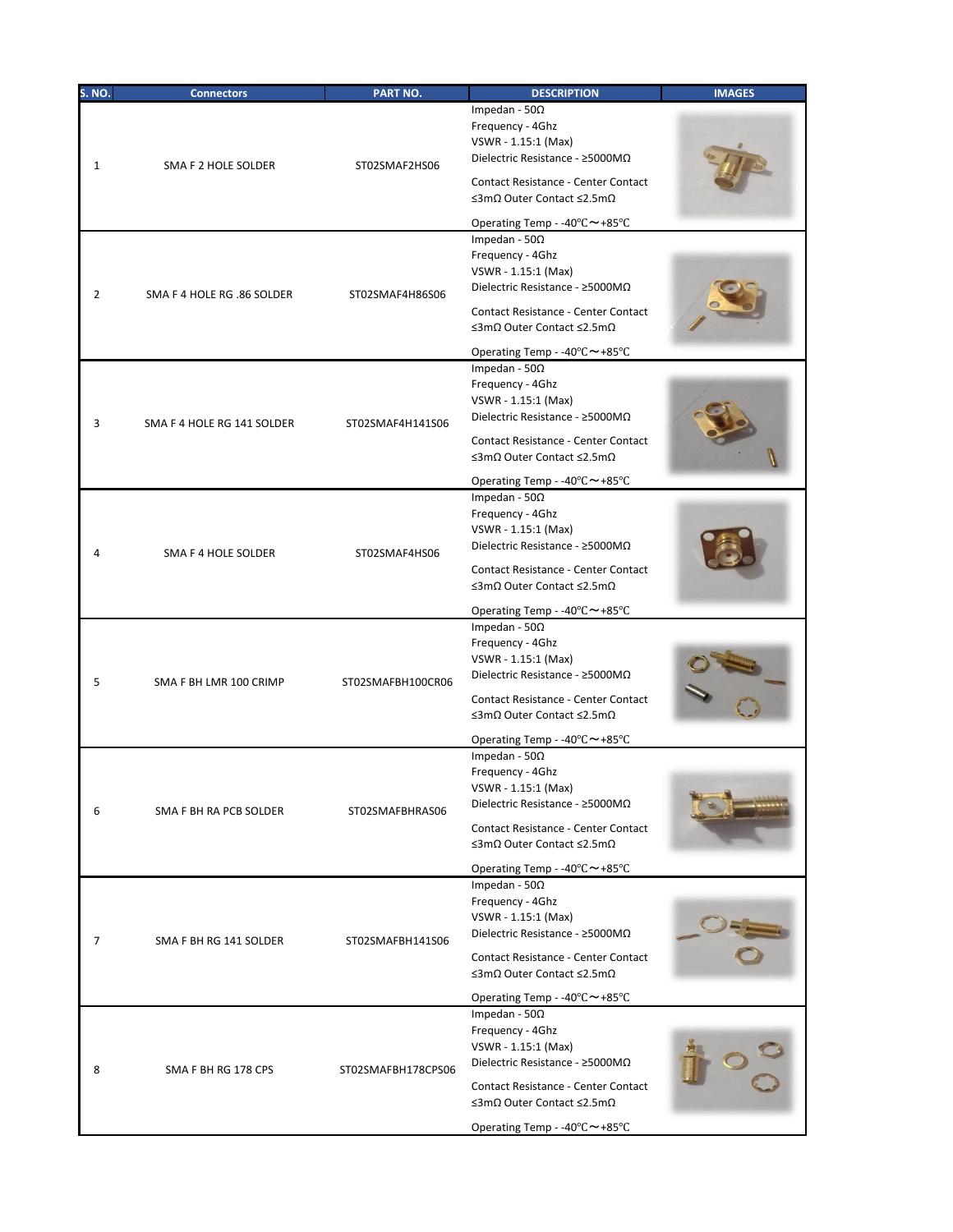| S. NO.       | <b>Connectors</b>          | PART NO.           | <b>DESCRIPTION</b>                                                                                                                                                                                                                                            | <b>IMAGES</b> |
|--------------|----------------------------|--------------------|---------------------------------------------------------------------------------------------------------------------------------------------------------------------------------------------------------------------------------------------------------------|---------------|
| $\mathbf{1}$ | SMA F 2 HOLE SOLDER        | ST02SMAF2HS06      | Impedan - 50 $\Omega$<br>Frequency - 4Ghz<br>VSWR - 1.15:1 (Max)<br>Dielectric Resistance - ≥5000MΩ<br>Contact Resistance - Center Contact                                                                                                                    |               |
|              |                            |                    | ≤3mΩ Outer Contact ≤2.5mΩ                                                                                                                                                                                                                                     |               |
| 2            | SMA F 4 HOLE RG .86 SOLDER | ST02SMAF4H86S06    | Operating Temp - -40°C~+85°C<br>Impedan - $50\Omega$<br>Frequency - 4Ghz<br>VSWR - 1.15:1 (Max)<br>Dielectric Resistance - ≥5000MΩ<br>Contact Resistance - Center Contact<br>≤3mΩ Outer Contact ≤2.5mΩ<br>Operating Temp - -40°C~+85°C                        |               |
| 3            | SMA F 4 HOLE RG 141 SOLDER | ST02SMAF4H141S06   | Impedan - 50 $\Omega$<br>Frequency - 4Ghz<br>VSWR - 1.15:1 (Max)<br>Dielectric Resistance - ≥5000MΩ<br>Contact Resistance - Center Contact<br>≤3mΩ Outer Contact ≤2.5mΩ<br>Operating Temp - -40°C~+85°C                                                       |               |
| 4            | SMA F 4 HOLE SOLDER        | ST02SMAF4HS06      | Impedan - 50 $\Omega$<br>Frequency - 4Ghz<br>VSWR - 1.15:1 (Max)<br>Dielectric Resistance - $\geq$ 5000M $\Omega$<br>Contact Resistance - Center Contact<br>≤3mΩ Outer Contact ≤2.5mΩ<br>Operating Temp - -40°C~+85°C                                         |               |
| 5            | SMA F BH LMR 100 CRIMP     | ST02SMAFBH100CR06  | Impedan - 50 $\Omega$<br>Frequency - 4Ghz<br>VSWR - 1.15:1 (Max)<br>Dielectric Resistance - ≥5000MΩ<br>Contact Resistance - Center Contact<br>≤3mΩ Outer Contact ≤2.5mΩ<br>Operating Temp - -40°C~+85°C                                                       |               |
| 6            | SMA F BH RA PCB SOLDER     | ST02SMAFBHRAS06    | Impedan - 50 $\Omega$<br>Frequency - 4Ghz<br>VSWR - 1.15:1 (Max)<br>Dielectric Resistance - ≥5000MΩ<br>Contact Resistance - Center Contact<br>≤3mΩ Outer Contact ≤2.5mΩ<br>Operating Temp - -40°C~+85°C                                                       |               |
| 7            | SMA F BH RG 141 SOLDER     | ST02SMAFBH141S06   | Impedan - 50 $\Omega$<br>Frequency - 4Ghz<br>VSWR - 1.15:1 (Max)<br>Dielectric Resistance - ≥5000MΩ<br>Contact Resistance - Center Contact<br>≤3mΩ Outer Contact ≤2.5mΩ                                                                                       |               |
| 8            | SMA F BH RG 178 CPS        | ST02SMAFBH178CPS06 | Operating Temp - -40 $\degree$ C ~ +85 $\degree$ C<br>Impedan - 50 $\Omega$<br>Frequency - 4Ghz<br>VSWR - 1.15:1 (Max)<br>Dielectric Resistance - ≥5000MΩ<br>Contact Resistance - Center Contact<br>≤3mΩ Outer Contact ≤2.5mΩ<br>Operating Temp - -40°C~+85°C |               |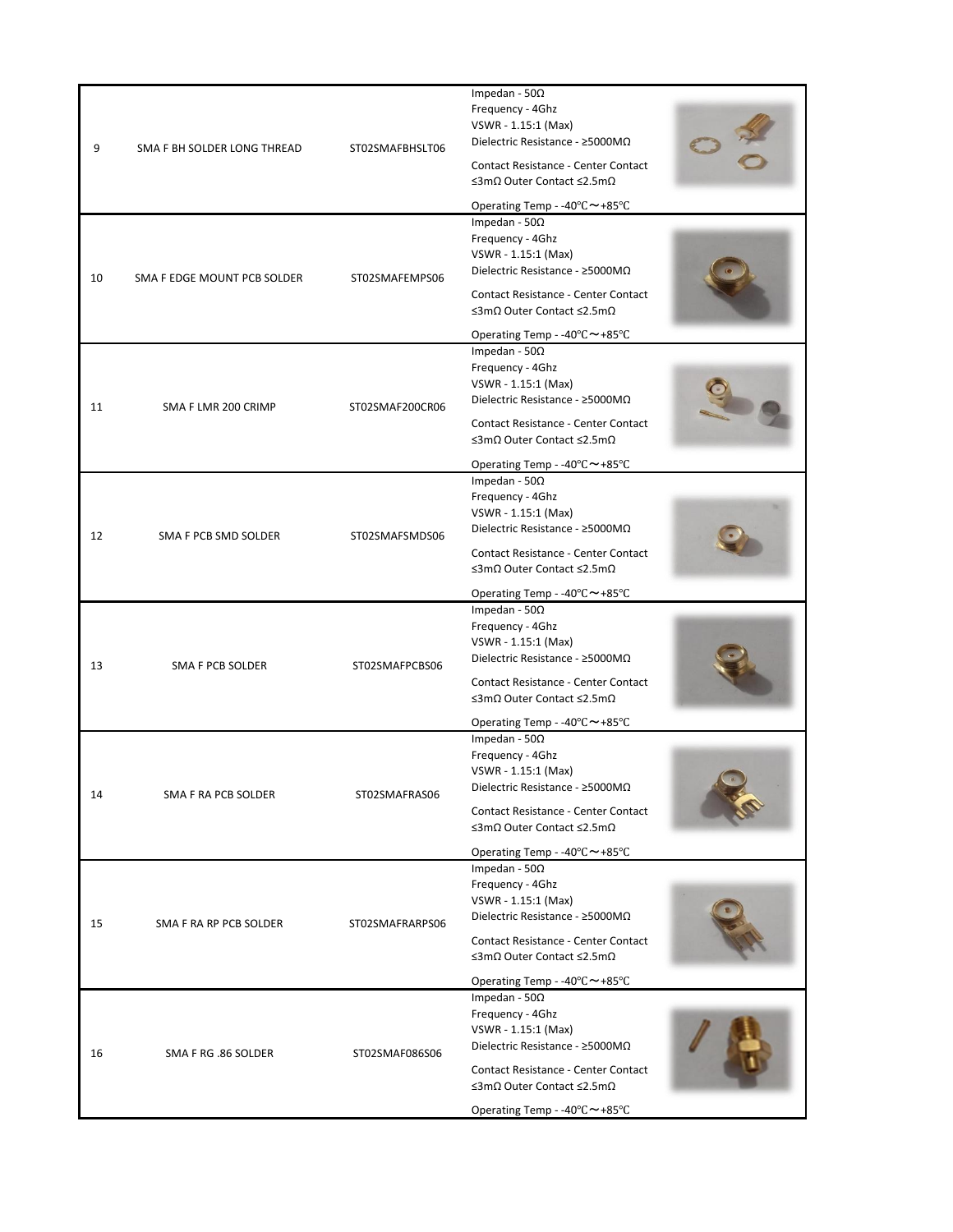|    |                             |                        | Impedan - 50 $\Omega$<br>Frequency - 4Ghz<br>VSWR - 1.15:1 (Max)<br>Dielectric Resistance - ≥5000MΩ               |                                                                  |  |
|----|-----------------------------|------------------------|-------------------------------------------------------------------------------------------------------------------|------------------------------------------------------------------|--|
| 9  | SMA F BH SOLDER LONG THREAD | ST02SMAFBHSLT06        | Contact Resistance - Center Contact<br>≤3mΩ Outer Contact ≤2.5mΩ                                                  |                                                                  |  |
|    |                             |                        | Operating Temp - -40°C~+85°C<br>Impedan - 50 $\Omega$                                                             |                                                                  |  |
| 10 | SMA F EDGE MOUNT PCB SOLDER | ST02SMAFEMPS06         | Frequency - 4Ghz<br>VSWR - 1.15:1 (Max)<br>Dielectric Resistance - ≥5000MΩ                                        |                                                                  |  |
|    |                             |                        | Contact Resistance - Center Contact<br>≤3mΩ Outer Contact ≤2.5mΩ                                                  |                                                                  |  |
|    |                             |                        | Operating Temp - -40°C~+85°C                                                                                      |                                                                  |  |
| 11 | SMA F LMR 200 CRIMP         | ST02SMAF200CR06        | Impedan - 50 $\Omega$<br>Frequency - 4Ghz<br>VSWR - 1.15:1 (Max)<br>Dielectric Resistance - $\geq$ 5000M $\Omega$ |                                                                  |  |
|    |                             |                        | <b>Contact Resistance - Center Contact</b><br>$\leq$ 3m $\Omega$ Outer Contact $\leq$ 2.5m $\Omega$               |                                                                  |  |
|    |                             |                        | Operating Temp - -40°C~+85°C                                                                                      |                                                                  |  |
|    |                             |                        | Impedan - $50\Omega$<br>Frequency - 4Ghz<br>VSWR - 1.15:1 (Max)<br>Dielectric Resistance - $\geq$ 5000M $\Omega$  |                                                                  |  |
| 12 | SMA F PCB SMD SOLDER        | ST02SMAFSMDS06         | Contact Resistance - Center Contact<br>≤3mΩ Outer Contact ≤2.5mΩ                                                  |                                                                  |  |
|    |                             |                        | Operating Temp - -40°C~+85°C                                                                                      |                                                                  |  |
| 13 | SMA F PCB SOLDER            | ST02SMAFPCBS06         | Impedan - 50 $\Omega$<br>Frequency - 4Ghz<br>VSWR - 1.15:1 (Max)<br>Dielectric Resistance - $\geq$ 5000M $\Omega$ |                                                                  |  |
|    |                             |                        | <b>Contact Resistance - Center Contact</b><br>≤3mΩ Outer Contact ≤2.5mΩ                                           |                                                                  |  |
|    |                             |                        | Operating Temp - -40°C~+85°C<br>Impedan - 50 $\Omega$                                                             |                                                                  |  |
|    |                             |                        | Frequency - 4Ghz                                                                                                  |                                                                  |  |
|    |                             |                        | VSWR - 1.15:1 (Max)<br>Dielectric Resistance - $\geq$ 5000M $\Omega$                                              |                                                                  |  |
| 14 | SMA F RA PCB SOLDER         | ST02SMAFRAS06          | Contact Resistance - Center Contact<br>≤3mΩ Outer Contact ≤2.5mΩ                                                  |                                                                  |  |
|    |                             |                        | Operating Temp - -40°C~+85°C                                                                                      |                                                                  |  |
|    |                             |                        | Impedan - $50\Omega$<br>Frequency - 4Ghz                                                                          |                                                                  |  |
|    |                             |                        | VSWR - 1.15:1 (Max)<br>Dielectric Resistance - ≥5000MΩ                                                            |                                                                  |  |
| 15 |                             | SMA F RA RP PCB SOLDER | ST02SMAFRARPS06                                                                                                   | Contact Resistance - Center Contact<br>≤3mΩ Outer Contact ≤2.5mΩ |  |
|    |                             |                        | Operating Temp - -40°C~+85°C                                                                                      |                                                                  |  |
|    |                             |                        | Impedan - $50\Omega$<br>Frequency - 4Ghz                                                                          |                                                                  |  |
|    |                             |                        | VSWR - 1.15:1 (Max)                                                                                               |                                                                  |  |
| 16 | SMA F RG .86 SOLDER         | ST02SMAF086S06         | Dielectric Resistance - $\geq$ 5000M $\Omega$<br>Contact Resistance - Center Contact                              |                                                                  |  |
|    |                             |                        | ≤3mΩ Outer Contact ≤2.5mΩ<br>Operating Temp - -40°C~+85°C                                                         |                                                                  |  |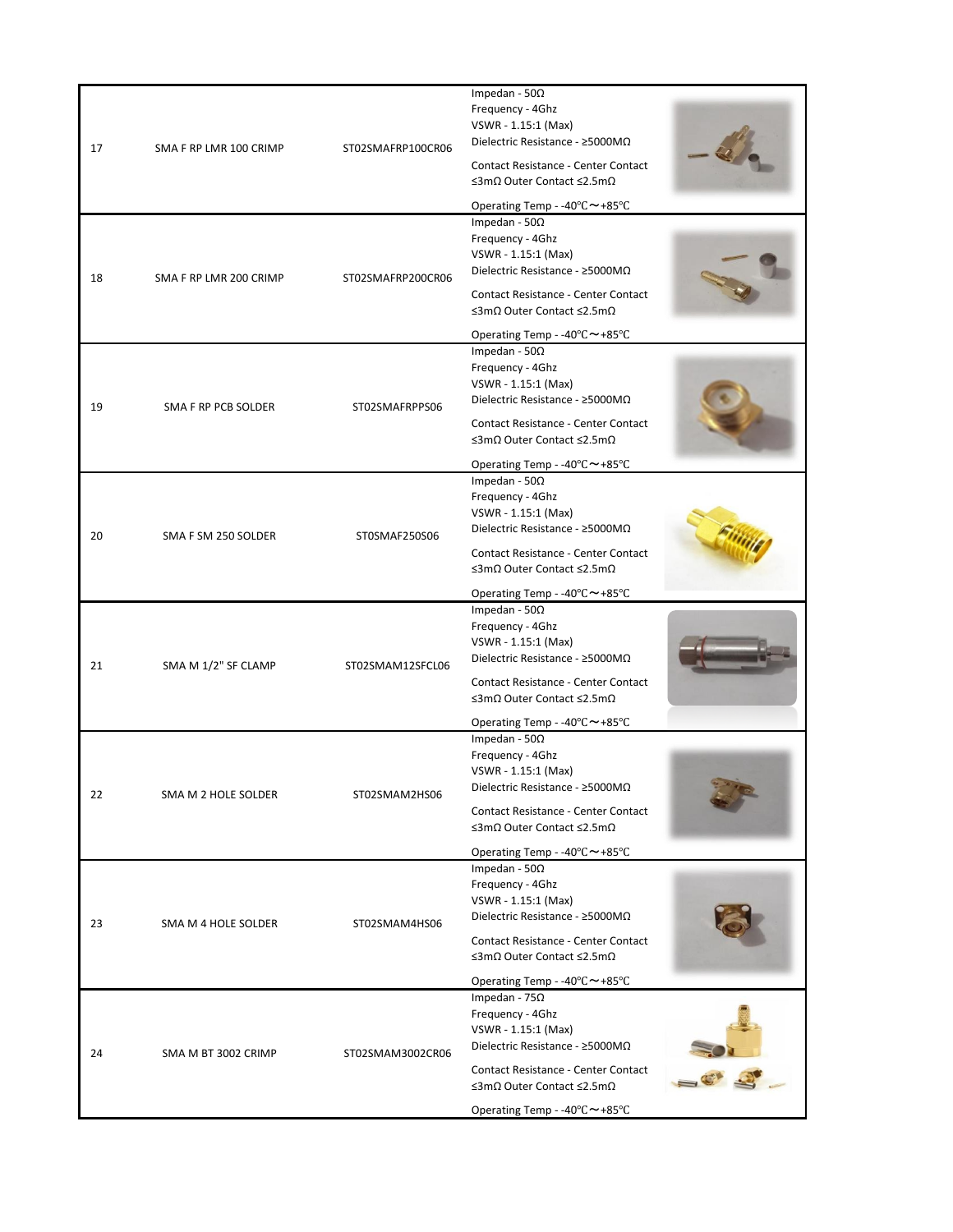| 17 | SMA F RP LMR 100 CRIMP | ST02SMAFRP100CR06 | Impedan - 50 $\Omega$<br>Frequency - 4Ghz<br>VSWR - 1.15:1 (Max)<br>Dielectric Resistance - $\geq$ 5000M $\Omega$<br>Contact Resistance - Center Contact<br>≤3mΩ Outer Contact ≤2.5mΩ<br>Operating Temp - -40°C~+85°C                                   |  |
|----|------------------------|-------------------|---------------------------------------------------------------------------------------------------------------------------------------------------------------------------------------------------------------------------------------------------------|--|
| 18 | SMA F RP LMR 200 CRIMP | ST02SMAFRP200CR06 | Impedan - 50 $\Omega$<br>Frequency - 4Ghz<br>VSWR - 1.15:1 (Max)<br>Dielectric Resistance - $\geq$ 5000M $\Omega$<br>Contact Resistance - Center Contact<br>≤3mΩ Outer Contact ≤2.5mΩ<br>Operating Temp - -40°C~+85°C                                   |  |
| 19 | SMA F RP PCB SOLDER    | ST02SMAFRPPS06    | Impedan - 50 $\Omega$<br>Frequency - 4Ghz<br>VSWR - 1.15:1 (Max)<br>Dielectric Resistance - $\geq$ 5000M $\Omega$<br>Contact Resistance - Center Contact<br>≤3mΩ Outer Contact ≤2.5mΩ<br>Operating Temp - -40°C~+85°C                                   |  |
| 20 | SMA F SM 250 SOLDER    | ST0SMAF250S06     | Impedan - $50\Omega$<br>Frequency - 4Ghz<br>VSWR - 1.15:1 (Max)<br>Dielectric Resistance - $\geq$ 5000M $\Omega$<br>Contact Resistance - Center Contact<br>≤3mΩ Outer Contact ≤2.5mΩ<br>Operating Temp - -40°C~+85°C                                    |  |
| 21 | SMA M 1/2" SF CLAMP    | ST02SMAM12SFCL06  | Impedan - 50 $\Omega$<br>Frequency - 4Ghz<br>VSWR - 1.15:1 (Max)<br>Dielectric Resistance - $\geq$ 5000M $\Omega$<br><b>Contact Resistance - Center Contact</b><br>≤3mΩ Outer Contact ≤2.5mΩ                                                            |  |
| 22 | SMA M 2 HOLE SOLDER    | ST02SMAM2HS06     | Operating Temp - -40°C ~ +85°C<br>Impedan - 50 $\Omega$<br>Frequency - 4Ghz<br>VSWR - 1.15:1 (Max)<br>Dielectric Resistance - $\geq$ 5000M $\Omega$<br>Contact Resistance - Center Contact<br>≤3mΩ Outer Contact ≤2.5mΩ<br>Operating Temp - -40°C~+85°C |  |
| 23 | SMA M 4 HOLE SOLDER    | ST02SMAM4HS06     | Impedan - 50 $\Omega$<br>Frequency - 4Ghz<br>VSWR - 1.15:1 (Max)<br>Dielectric Resistance - ≥5000MΩ<br><b>Contact Resistance - Center Contact</b><br>≤3mΩ Outer Contact ≤2.5mΩ<br>Operating Temp - -40°C~+85°C                                          |  |
| 24 | SMA M BT 3002 CRIMP    | ST02SMAM3002CR06  | Impedan - 75 $\Omega$<br>Frequency - 4Ghz<br>VSWR - 1.15:1 (Max)<br>Dielectric Resistance - ≥5000MΩ<br>Contact Resistance - Center Contact<br>≤3mΩ Outer Contact ≤2.5mΩ<br>Operating Temp - -40°C~+85°C                                                 |  |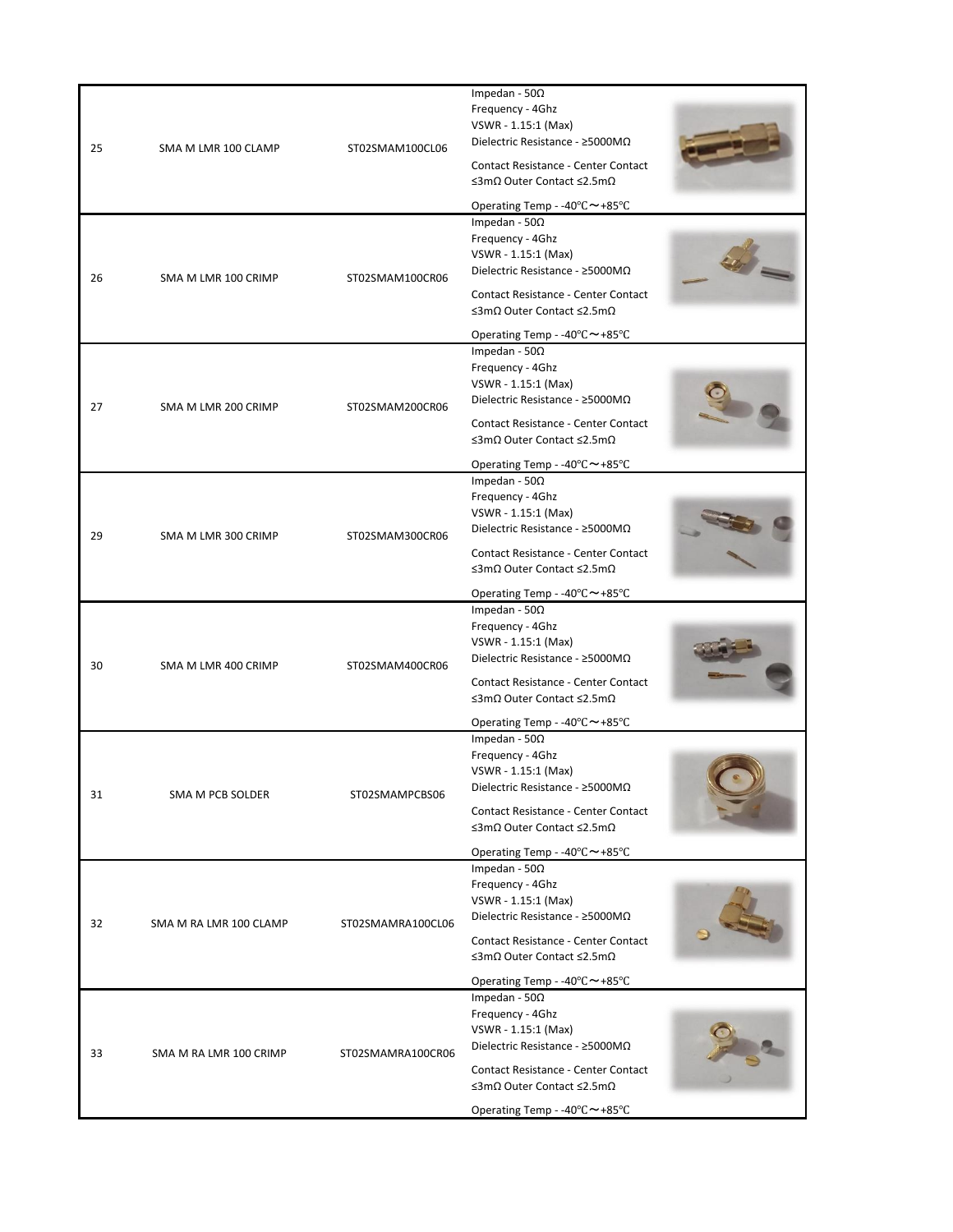| 25 | SMA M LMR 100 CLAMP    | ST02SMAM100CL06   | Impedan - 50 $\Omega$<br>Frequency - 4Ghz<br>VSWR - 1.15:1 (Max)<br>Dielectric Resistance - ≥5000MΩ<br><b>Contact Resistance - Center Contact</b><br>≤3mΩ Outer Contact ≤2.5mΩ |  |
|----|------------------------|-------------------|--------------------------------------------------------------------------------------------------------------------------------------------------------------------------------|--|
|    |                        |                   | Operating Temp - -40°C~+85°C                                                                                                                                                   |  |
| 26 | SMA M LMR 100 CRIMP    | ST02SMAM100CR06   | Impedan - 50 $\Omega$<br>Frequency - 4Ghz<br>VSWR - 1.15:1 (Max)<br>Dielectric Resistance - ≥5000MΩ                                                                            |  |
|    |                        |                   | Contact Resistance - Center Contact<br>≤3mΩ Outer Contact ≤2.5mΩ                                                                                                               |  |
|    |                        |                   | Operating Temp - -40°C~+85°C                                                                                                                                                   |  |
| 27 | SMA M LMR 200 CRIMP    | ST02SMAM200CR06   | Impedan - 50 $\Omega$<br>Frequency - 4Ghz<br>VSWR - 1.15:1 (Max)<br>Dielectric Resistance - $\geq$ 5000M $\Omega$                                                              |  |
|    |                        |                   | Contact Resistance - Center Contact<br>≤3mΩ Outer Contact ≤2.5mΩ                                                                                                               |  |
|    |                        |                   | Operating Temp - -40°C~+85°C<br>Impedan - 50 $\Omega$                                                                                                                          |  |
| 29 | SMA M LMR 300 CRIMP    | ST02SMAM300CR06   | Frequency - 4Ghz<br>VSWR - 1.15:1 (Max)<br>Dielectric Resistance - $\geq$ 5000M $\Omega$                                                                                       |  |
|    |                        |                   | Contact Resistance - Center Contact<br>≤3mΩ Outer Contact ≤2.5mΩ                                                                                                               |  |
|    |                        |                   | Operating Temp - -40°C~+85°C<br>Impedan - 50 $\Omega$                                                                                                                          |  |
| 30 | SMA M LMR 400 CRIMP    | ST02SMAM400CR06   | Frequency - 4Ghz<br>VSWR - 1.15:1 (Max)<br>Dielectric Resistance - $\geq$ 5000M $\Omega$                                                                                       |  |
|    |                        |                   | Contact Resistance - Center Contact<br>≤3mΩ Outer Contact ≤2.5mΩ                                                                                                               |  |
|    |                        |                   | Operating Temp - -40°C~+85°C<br>Impedan - 50 $\Omega$                                                                                                                          |  |
|    |                        |                   | Frequency - 4Ghz                                                                                                                                                               |  |
|    |                        |                   | VSWR - 1.15:1 (Max)<br>Dielectric Resistance - $\geq$ 5000M $\Omega$                                                                                                           |  |
| 31 | SMA M PCB SOLDER       | ST02SMAMPCBS06    | <b>Contact Resistance - Center Contact</b><br>≤3mΩ Outer Contact ≤2.5mΩ                                                                                                        |  |
|    |                        |                   | Operating Temp - -40°C~+85°C                                                                                                                                                   |  |
|    |                        |                   | Impedan - 50 $\Omega$<br>Frequency - 4Ghz                                                                                                                                      |  |
|    |                        |                   | VSWR - 1.15:1 (Max)<br>Dielectric Resistance - ≥5000MΩ                                                                                                                         |  |
| 32 | SMA M RA LMR 100 CLAMP | ST02SMAMRA100CL06 | Contact Resistance - Center Contact<br>≤3mΩ Outer Contact ≤2.5mΩ                                                                                                               |  |
|    |                        |                   | Operating Temp - -40°C~+85°C                                                                                                                                                   |  |
|    |                        |                   | Impedan - 50 $\Omega$                                                                                                                                                          |  |
|    |                        |                   | Frequency - 4Ghz<br>VSWR - 1.15:1 (Max)                                                                                                                                        |  |
| 33 | SMA M RA LMR 100 CRIMP | ST02SMAMRA100CR06 | Dielectric Resistance - $\geq$ 5000M $\Omega$                                                                                                                                  |  |
|    |                        |                   | Contact Resistance - Center Contact<br>≤3mΩ Outer Contact ≤2.5mΩ                                                                                                               |  |
|    |                        |                   | Operating Temp - -40°C~+85°C                                                                                                                                                   |  |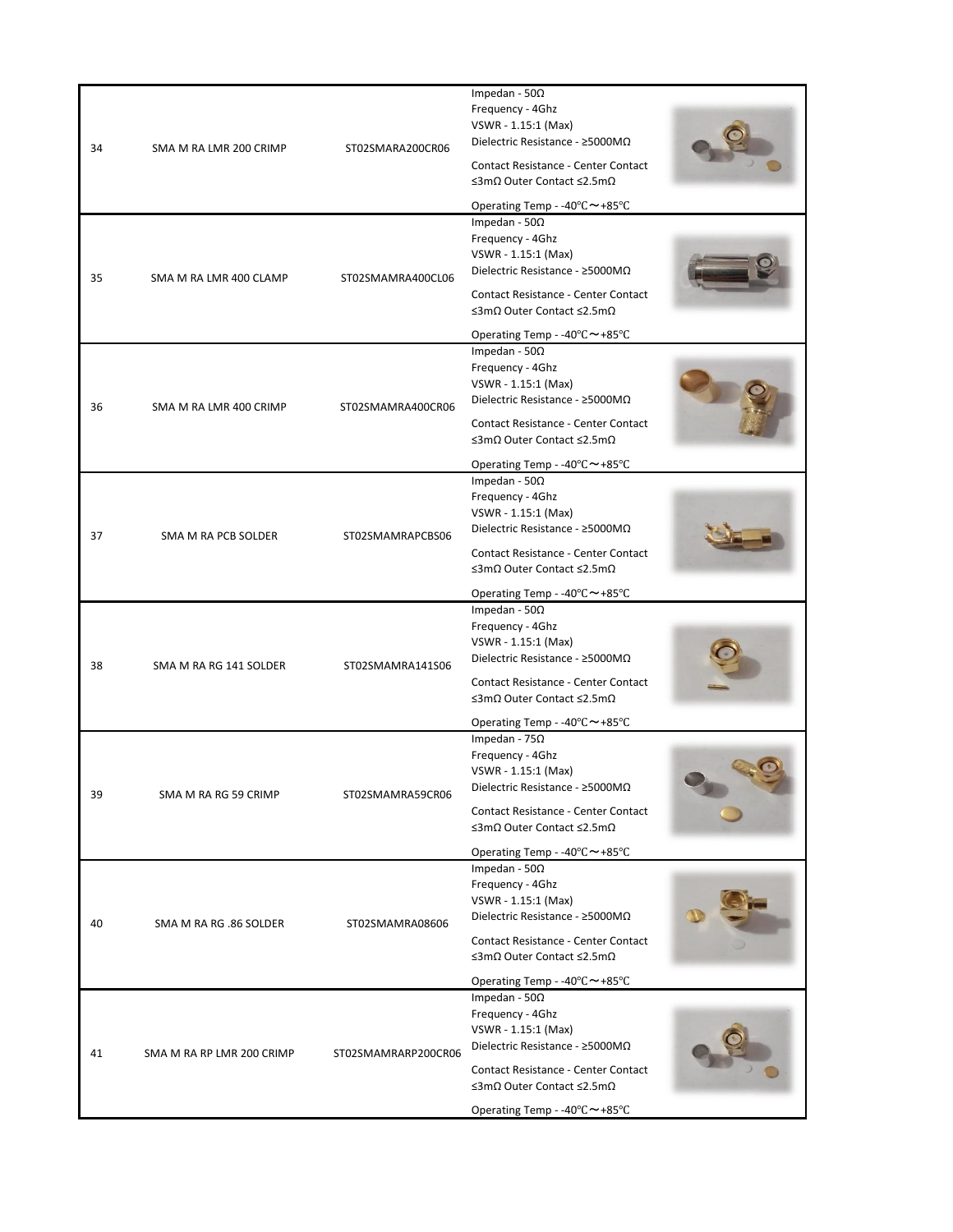| 34 | SMA M RA LMR 200 CRIMP    | ST02SMARA200CR06    | Impedan - 50 $\Omega$<br>Frequency - 4Ghz<br>VSWR - 1.15:1 (Max)<br>Dielectric Resistance - ≥5000MΩ |  |
|----|---------------------------|---------------------|-----------------------------------------------------------------------------------------------------|--|
|    |                           |                     | Contact Resistance - Center Contact<br>≤3mΩ Outer Contact ≤2.5mΩ                                    |  |
|    |                           |                     | Operating Temp - -40 $\degree$ C $\sim$ +85 $\degree$ C                                             |  |
|    |                           |                     | Impedan - $50\Omega$<br>Frequency - 4Ghz<br>VSWR - 1.15:1 (Max)<br>Dielectric Resistance - ≥5000MΩ  |  |
| 35 | SMA M RA LMR 400 CLAMP    | ST02SMAMRA400CL06   | Contact Resistance - Center Contact<br>≤3mΩ Outer Contact ≤2.5mΩ                                    |  |
|    |                           |                     | Operating Temp - -40°C~+85°C                                                                        |  |
| 36 | SMA M RA LMR 400 CRIMP    | ST02SMAMRA400CR06   | Impedan - 50 $\Omega$<br>Frequency - 4Ghz<br>VSWR - 1.15:1 (Max)<br>Dielectric Resistance - ≥5000MΩ |  |
|    |                           |                     | <b>Contact Resistance - Center Contact</b><br>≤3mΩ Outer Contact ≤2.5mΩ                             |  |
|    |                           |                     | Operating Temp - -40°C~+85°C                                                                        |  |
|    |                           |                     | Impedan - 50 $\Omega$<br>Frequency - 4Ghz<br>VSWR - 1.15:1 (Max)                                    |  |
| 37 | SMA M RA PCB SOLDER       | ST02SMAMRAPCBS06    | Dielectric Resistance - ≥5000MΩ                                                                     |  |
|    |                           |                     | Contact Resistance - Center Contact<br>≤3mΩ Outer Contact ≤2.5mΩ                                    |  |
|    |                           |                     | Operating Temp - -40 $\degree$ C ~ +85 $\degree$ C                                                  |  |
| 38 | SMA M RA RG 141 SOLDER    | ST02SMAMRA141S06    | Impedan - 50 $\Omega$<br>Frequency - 4Ghz<br>VSWR - 1.15:1 (Max)<br>Dielectric Resistance - ≥5000MΩ |  |
|    |                           |                     | Contact Resistance - Center Contact<br>≤3mΩ Outer Contact ≤2.5mΩ                                    |  |
|    |                           |                     | Operating Temp - -40°C~+85°C<br>Impedan - $75\Omega$                                                |  |
|    |                           |                     | Frequency - 4Ghz                                                                                    |  |
|    |                           |                     | VSWR - 1.15:1 (Max)<br>Dielectric Resistance - $\geq$ 5000M $\Omega$                                |  |
| 39 | SMA M RA RG 59 CRIMP      | ST02SMAMRA59CR06    | Contact Resistance - Center Contact<br>≤3mΩ Outer Contact ≤2.5mΩ                                    |  |
|    |                           |                     | Operating Temp - -40°C~+85°C                                                                        |  |
|    |                           |                     | Impedan - 50 $\Omega$                                                                               |  |
|    |                           |                     | Frequency - 4Ghz                                                                                    |  |
|    |                           |                     | VSWR - 1.15:1 (Max)<br>Dielectric Resistance - ≥5000MΩ                                              |  |
| 40 | SMA M RA RG .86 SOLDER    | ST02SMAMRA08606     | Contact Resistance - Center Contact                                                                 |  |
|    |                           |                     | ≤3mΩ Outer Contact ≤2.5mΩ                                                                           |  |
|    |                           |                     | Operating Temp - -40°C~+85°C<br>Impedan - 50 $\Omega$                                               |  |
|    |                           |                     | Frequency - 4Ghz                                                                                    |  |
|    |                           |                     | VSWR - 1.15:1 (Max)                                                                                 |  |
| 41 | SMA M RA RP LMR 200 CRIMP | ST02SMAMRARP200CR06 | Dielectric Resistance - ≥5000MΩ<br>Contact Resistance - Center Contact<br>≤3mΩ Outer Contact ≤2.5mΩ |  |
|    |                           |                     | Operating Temp - -40°C~+85°C                                                                        |  |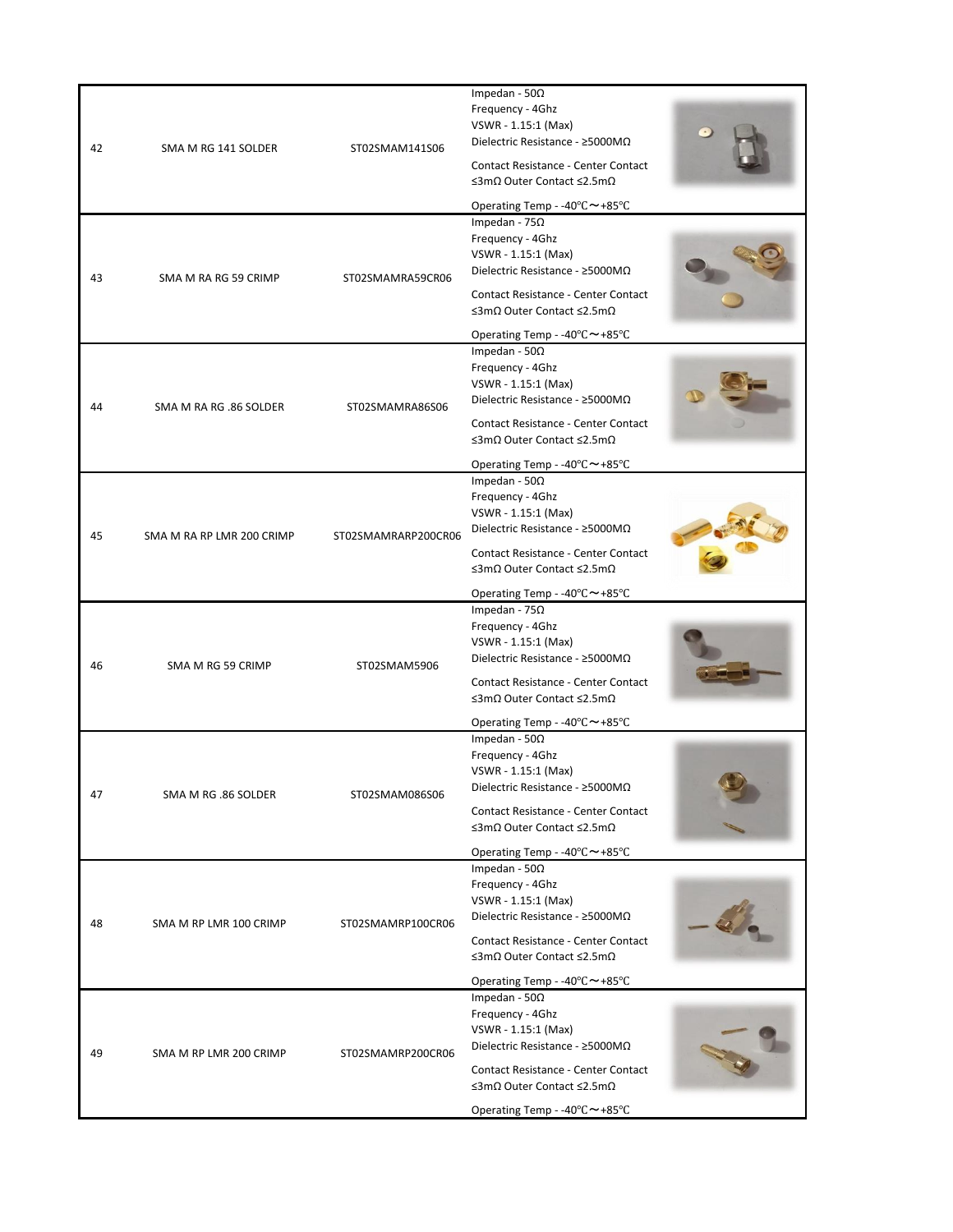|    |                           |                                                                                                                                          | Impedan - 50 $\Omega$<br>Frequency - 4Ghz                               |  |
|----|---------------------------|------------------------------------------------------------------------------------------------------------------------------------------|-------------------------------------------------------------------------|--|
| 42 | SMA M RG 141 SOLDER       | ST02SMAM141S06                                                                                                                           | VSWR - 1.15:1 (Max)<br>Dielectric Resistance - ≥5000MΩ                  |  |
|    |                           |                                                                                                                                          | Contact Resistance - Center Contact<br>≤3mΩ Outer Contact ≤2.5mΩ        |  |
|    |                           |                                                                                                                                          | Operating Temp - -40°C~+85°C                                            |  |
|    |                           |                                                                                                                                          | Impedan - 75 $\Omega$                                                   |  |
|    |                           |                                                                                                                                          | Frequency - 4Ghz<br>VSWR - 1.15:1 (Max)                                 |  |
| 43 | SMA M RA RG 59 CRIMP      | ST02SMAMRA59CR06                                                                                                                         | Dielectric Resistance - ≥5000MΩ                                         |  |
|    |                           |                                                                                                                                          | Contact Resistance - Center Contact<br>≤3mΩ Outer Contact ≤2.5mΩ        |  |
|    |                           |                                                                                                                                          | Operating Temp - -40°C~+85°C                                            |  |
|    |                           |                                                                                                                                          | Impedan - 50 $\Omega$                                                   |  |
|    |                           |                                                                                                                                          | Frequency - 4Ghz<br>VSWR - 1.15:1 (Max)                                 |  |
| 44 | SMA M RA RG .86 SOLDER    | ST02SMAMRA86S06                                                                                                                          | Dielectric Resistance - ≥5000MΩ                                         |  |
|    |                           |                                                                                                                                          | <b>Contact Resistance - Center Contact</b>                              |  |
|    |                           |                                                                                                                                          | $\leq$ 3m $\Omega$ Outer Contact $\leq$ 2.5m $\Omega$                   |  |
|    |                           |                                                                                                                                          | Operating Temp - -40°C~+85°C<br>Impedan - $50\Omega$                    |  |
|    |                           |                                                                                                                                          | Frequency - 4Ghz                                                        |  |
|    |                           |                                                                                                                                          | VSWR - 1.15:1 (Max)                                                     |  |
| 45 | SMA M RA RP LMR 200 CRIMP | Dielectric Resistance - $\geq$ 5000M $\Omega$<br>ST02SMAMRARP200CR06<br>Contact Resistance - Center Contact<br>≤3mΩ Outer Contact ≤2.5mΩ |                                                                         |  |
|    |                           |                                                                                                                                          |                                                                         |  |
|    |                           |                                                                                                                                          | Operating Temp - -40 $\degree$ C ~ +85 $\degree$ C                      |  |
|    |                           |                                                                                                                                          | Impedan - 75 $\Omega$<br>Frequency - 4Ghz                               |  |
|    |                           |                                                                                                                                          | VSWR - 1.15:1 (Max)                                                     |  |
| 46 | SMA M RG 59 CRIMP         | ST02SMAM5906                                                                                                                             | Dielectric Resistance - $\geq$ 5000M $\Omega$                           |  |
|    |                           |                                                                                                                                          | <b>Contact Resistance - Center Contact</b><br>≤3mΩ Outer Contact ≤2.5mΩ |  |
|    |                           |                                                                                                                                          | Operating Temp - -40°C~+85°C                                            |  |
|    |                           |                                                                                                                                          | Impedan - 50 $\Omega$<br>Frequency - 4Ghz                               |  |
|    |                           |                                                                                                                                          | VSWR - 1.15:1 (Max)                                                     |  |
| 47 | SMA M RG .86 SOLDER       | ST02SMAM086S06                                                                                                                           | Dielectric Resistance - $\geq$ 5000M $\Omega$                           |  |
|    |                           |                                                                                                                                          | <b>Contact Resistance - Center Contact</b><br>≤3mΩ Outer Contact ≤2.5mΩ |  |
|    |                           |                                                                                                                                          | Operating Temp - -40°C~+85°C                                            |  |
|    |                           |                                                                                                                                          | Impedan - $50\Omega$<br>Frequency - 4Ghz                                |  |
|    |                           |                                                                                                                                          | VSWR - 1.15:1 (Max)                                                     |  |
| 48 | SMA M RP LMR 100 CRIMP    | ST02SMAMRP100CR06                                                                                                                        | Dielectric Resistance - $\geq$ 5000M $\Omega$                           |  |
|    |                           |                                                                                                                                          | Contact Resistance - Center Contact<br>≤3mΩ Outer Contact ≤2.5mΩ        |  |
|    |                           |                                                                                                                                          | Operating Temp - -40°C~+85°C                                            |  |
|    |                           |                                                                                                                                          | Impedan - $50\Omega$                                                    |  |
|    |                           |                                                                                                                                          | Frequency - 4Ghz<br>VSWR - 1.15:1 (Max)                                 |  |
| 49 | SMA M RP LMR 200 CRIMP    | ST02SMAMRP200CR06                                                                                                                        | Dielectric Resistance - $\geq$ 5000M $\Omega$                           |  |
|    |                           |                                                                                                                                          | Contact Resistance - Center Contact<br>≤3mΩ Outer Contact ≤2.5mΩ        |  |
|    |                           |                                                                                                                                          | Operating Temp - -40°C~+85°C                                            |  |